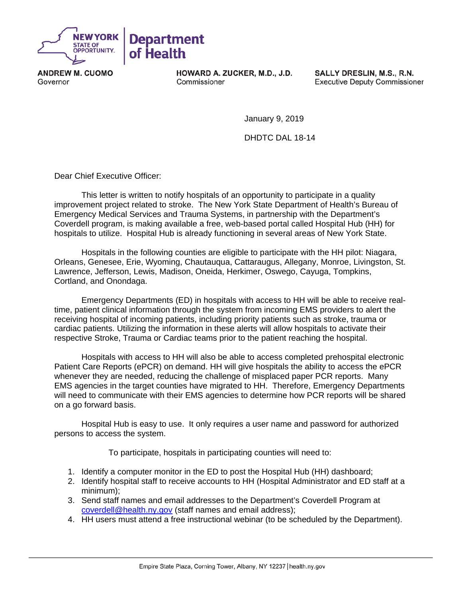

**ANDREW M. CUOMO** Governor

HOWARD A. ZUCKER, M.D., J.D. Commissioner

SALLY DRESLIN, M.S., R.N. **Executive Deputy Commissioner** 

January 9, 2019

DHDTC DAL 18-14

Dear Chief Executive Officer:

This letter is written to notify hospitals of an opportunity to participate in a quality improvement project related to stroke. The New York State Department of Health's Bureau of Emergency Medical Services and Trauma Systems, in partnership with the Department's Coverdell program, is making available a free, web-based portal called Hospital Hub (HH) for hospitals to utilize. Hospital Hub is already functioning in several areas of New York State.

Hospitals in the following counties are eligible to participate with the HH pilot: Niagara, Orleans, Genesee, Erie, Wyoming, Chautauqua, Cattaraugus, Allegany, Monroe, Livingston, St. Lawrence, Jefferson, Lewis, Madison, Oneida, Herkimer, Oswego, Cayuga, Tompkins, Cortland, and Onondaga.

Emergency Departments (ED) in hospitals with access to HH will be able to receive realtime, patient clinical information through the system from incoming EMS providers to alert the receiving hospital of incoming patients, including priority patients such as stroke, trauma or cardiac patients. Utilizing the information in these alerts will allow hospitals to activate their respective Stroke, Trauma or Cardiac teams prior to the patient reaching the hospital.

Hospitals with access to HH will also be able to access completed prehospital electronic Patient Care Reports (ePCR) on demand. HH will give hospitals the ability to access the ePCR whenever they are needed, reducing the challenge of misplaced paper PCR reports. Many EMS agencies in the target counties have migrated to HH. Therefore, Emergency Departments will need to communicate with their EMS agencies to determine how PCR reports will be shared on a go forward basis.

Hospital Hub is easy to use. It only requires a user name and password for authorized persons to access the system.

To participate, hospitals in participating counties will need to:

- 1. Identify a computer monitor in the ED to post the Hospital Hub (HH) dashboard;
- 2. Identify hospital staff to receive accounts to HH (Hospital Administrator and ED staff at a minimum);
- 3. Send staff names and email addresses to the Department's Coverdell Program at [coverdell@health.ny.gov](mailto:coverdell@health.ny.gov) (staff names and email address);
- 4. HH users must attend a free instructional webinar (to be scheduled by the Department).